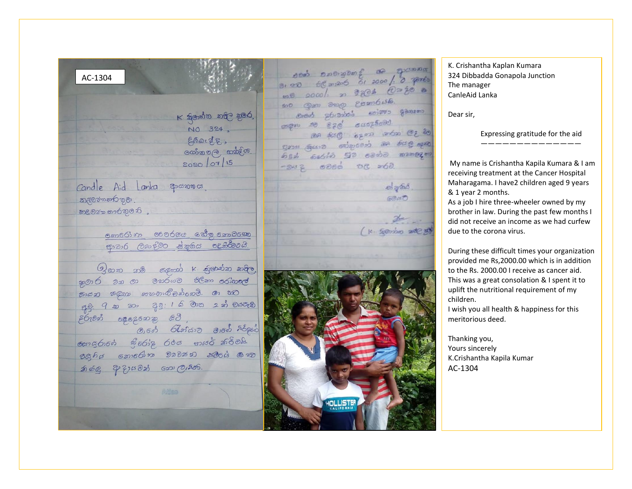| AC-1304                    |                                       | அவல் அவல் திக்கு அவலை        |
|----------------------------|---------------------------------------|------------------------------|
|                            |                                       | 01 00 0 con 06 61 2000/ 0 pm |
|                            |                                       | 00 0000/ 20 3202 @=30 0      |
|                            |                                       | மா ஒன் வெற ஜனைப்பக்,         |
|                            | $K$ කුලාන්ත නෙලි කුලර                 | encos privados coimo ganera  |
|                            | NO 324,                               | sem 20 820 auszászt          |
| 5.43                       | Enarge,                               | an sese con adm ez           |
|                            |                                       | ஜான் ஆண் எல்லும் விக்கு அ    |
|                            | රගාන තල හන්දිය.                       | හිදුන් ගිරෝන හුව සමන්ව කුහලද |
|                            | 2020   07   15                        | $-342$ $-300$ $-30$          |
|                            |                                       |                              |
| Candle Aid Lanka apassona, |                                       | esgrind                      |
| medmont po.                |                                       | GOMO                         |
| <u> නැවන්ත කාර්තුවනි</u>   |                                       |                              |
|                            |                                       |                              |
|                            | <u>emoding obodes etgendom</u>        | (16. 500mbs) 200             |
|                            | ආබාර ලියාදිමට ස්තුතිය පෙකිරීමටයි.     |                              |
|                            |                                       |                              |
|                            | (3) es a so a secon x brever a soro   |                              |
|                            | ඉමාර වන මා මහරිගම පිලිකා රෝහලේ        |                              |
|                            |                                       |                              |
|                            | තයන සඳහා සහභාගීමන්ගෙමි. මා හ          |                              |
|                            | <u> ஒத் 9 க கை 23:16 சே 2 க் வக்க</u> |                              |
| දිරුවන් දෙදෙනෙකු සිථි ,    |                                       |                              |
|                            | 0,60 625600 0,60 26800                |                              |
|                            | හොයුරාගේ ඉීරෝද රථය භයර කිරිමයි.       |                              |
|                            | රතුරිය කොරෝන වෘවනන 2006 ලා න          |                              |
|                            |                                       |                              |
| க்க்ஜ 2 3 மூல் வை குக்கி.  |                                       |                              |
|                            |                                       |                              |
|                            |                                       |                              |

K. Crishantha Kaplan Kumara 324 Dibbadda Gonapola Junction The manager CanleAid Lanka

Dear sir,

Expressing gratitude for the aid

My name is Crishantha Kapila Kumara & I am receiving treatment at the Cancer Hospital Maharagama. I have2 children aged 9 years & 1 year 2 months.

——————————————

As a job I hire three -wheeler owned by my brother in law. During the past few months I did not receive an income as we had curfew due to the corona virus.

During these difficult times your organization provided me Rs,2000.00 which is in addition to the Rs. 2000.00 I receive as cancer aid. This was a great consolation & I spent it to uplift the nutritional requirement of my children.

I wish you all health & happiness for this meritorious deed.

Thanking you, Yours sincerely K.Crishantha Kapila Kumar AC -1304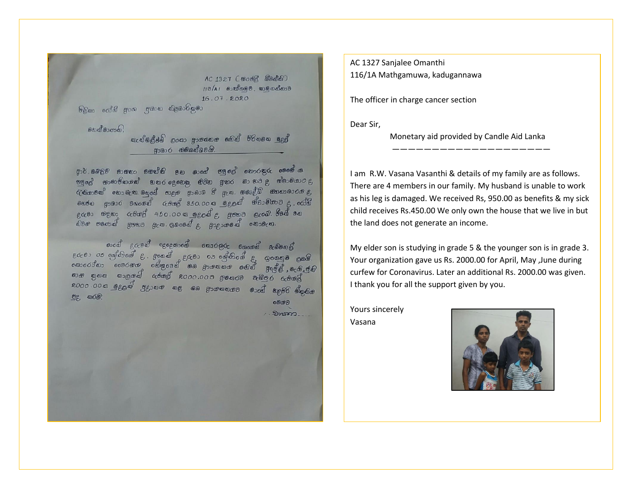AC 1327 (6068 8088)  $118/11$  වාත්තලව, කුඹුගන්නාව  $16.07.8080$ 

හිමිකා රෝගී අංශ ලබාන නිළබාරිතුමා

 $\omega$ 

හැන්ඔළුීෂබ් ලංකා ආාගනන සෝන් රිරිනමන ලුළුවී  $42006$  for added.

පුංරි. ඔබලිව් මාගතා මහත්ති පත ගායේ නමුලේ නොරතුරු මෙමේ ය මහජන ආබාර වගගෙන් රුජියල් 950.00ක මුදුලක් ස්වාමිගාව දු, ගෝහි eden mean abord 450.0000 geode, good ocon. for so  $\widehat{B}$ වන තමනක් අනුහල ඇත. ලබාගෙන් ද, ආදායනෙක් නොමැත.

லைவீ தலகவீ தேவைவது வையில் வேண் அத்திக்கு து, லகி.  $0000$ 

වානා

AC 1327 Sanjalee Omanthi 116/1A Mathgamuwa, kadugannawa

The officer in charge cancer section

Dear Sir,

Monetary aid provided by Candle Aid Lanka

————————————————————

I am R.W. Vasana Vasanthi & details of my family are as follows. There are 4 members in our family. My husband is unable to work as his leg is damaged. We received Rs, 950.00 as benefits & my sick child receives Rs.450.00 We only own the house that we live in but the land does not generate an income.

My elder son is studying in grade 5 & the younger son is in grade 3. Your organization gave us Rs. 2000.00 for April, May ,June during curfew for Coronavirus. Later an additional Rs. 2000.00 was given. I thank you for all the support given by you.

Yours sincerely Vasana

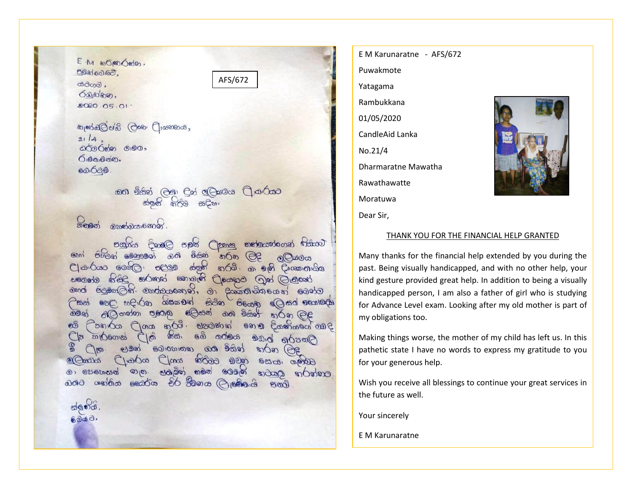E M anomobiles. விது எல்லி. **යිටිගම .**  $60,88,90$  $2020.05.01$ 



கும் இத்தி கொடுமலைக்,  $21/4$ බර්බරන්න මාමග-6. உலகும். බොර්ථම

> <u>මෙත මිසින් ලින ලින් මුලිගමය ලි.කර්යට</u> ස්ඉනි කිරීම සඳිනා

නිතමන් බහුන්බයා6නාන්.

ලිවෙලි ලමු lenes enodesseders esast Bearing ගො ජනමුන් මොකෙනු  $6.50$ കരി  $369 (22)$ <u>ලැලියෙිලය</u>  $\frac{1}{2}$ **ප**ල්ලම කරමි. මා මුහි දිංශකාරායින පතෙනේ නිසිදි **oens** ඉහළ හසාරන මහගමන් සිටින පිලයනු ලේසර මහාමාදිා  $e$ රුලි ගන්නා පුහුගු ලේසන් යන මිසින් කරන ලද මවත් නි  $955.$ මේ ඉරමය  $f|_{\mathcal{O}}$  $201000085$ தலை வெடு වෙන් මොරහානක ගත මිසින් ago cedce cont control deal து குடு தொ Googo coco <u>මා ගෙහෙයෙක් නැත. සැලෑමින් තමන් ලොබුන්</u> oreled a godes බගට ශක්තිය කෙරත විර කීමාය (ලාමුමායි ෪෨෯ඁ

ස්ගනයි. 6040

E M Karunaratne - AFS/672 Puwakmote Yatagama Rambukkana 01/05/2020 CandleAid Lanka No.21/4 Dharmaratne Mawatha Rawathawatte Moratuwa Dear Sir,



## THANK YOU FOR THE FINANCIAL HELP GRANTED

Many thanks for the financial help extended by you during the past. Being visually handicapped, and with no other help, your kind gesture provided great help. In addition to being a visually handicapped person, I am also a father of girl who is studying for Advance Level exam. Looking after my old mother is part of my obligations too.

Making things worse, the mother of my child has left us. In this pathetic state I have no words to express my gratitude to you for your generous help.

Wish you receive all blessings to continue your great services in the future as well.

Your sincerely

E M Karunaratne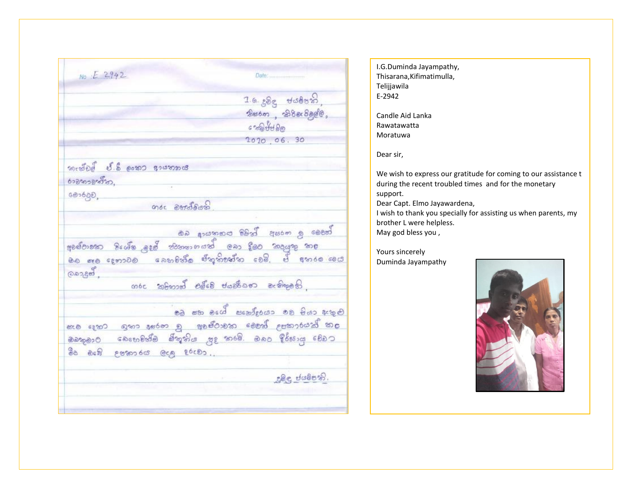$No E 2942$  $16.889 0000$  $R$ හරහා , කිරිමැවිමුල්ල,  $c$  to be been  $2020 06.30$  $m$ ත්වුම් ඒ.මී ලංකට ආයතනය රාබහා බහෝන. ෛර්ඨව mor deradas .<br>අවස්ථානක විශේෂ ලුදුල් තිහංගාගයක් ලබා දීමට කදයුතු කඳ<br>ඔබ ලෙම දෙනාටම - බෙහමින්ම ඒකුකිසන්ක මෙමි, ඒ අතරම මෙය බෞදුස් .<br>"මෙම සහ මගේ සකෝදරයා ලබ සියා දෙකුළු සැම දෙහට... බුහා අගේ*න* මූ... අනුෂ්ථානක මෙනක් <sub>උපකාට</sub>රයක් කළ ඔබතුමාව බෙහෙමින්ම මිතුතිය පුදු ක6මි. ඔබව දීර්ඝායු 6වාට මීන ඔබේ ළමකාරය ලදුනු දිරුවා.. ැමළ ජයම්පති.

I.G.Duminda Jayampathy, Thisarana,Kifimatimulla, Telijjawila E-2942

Candle Aid Lanka Rawatawatta Moratuwa

Dear sir,

We wish to express our gratitude for coming to our assistance t during the recent troubled times and for the monetary support.

Dear Capt. Elmo Jayawardena,

I wish to thank you specially for assisting us when parents, my brother L were helpless.

May god bless you ,

Yours sincerely Duminda Jayampathy